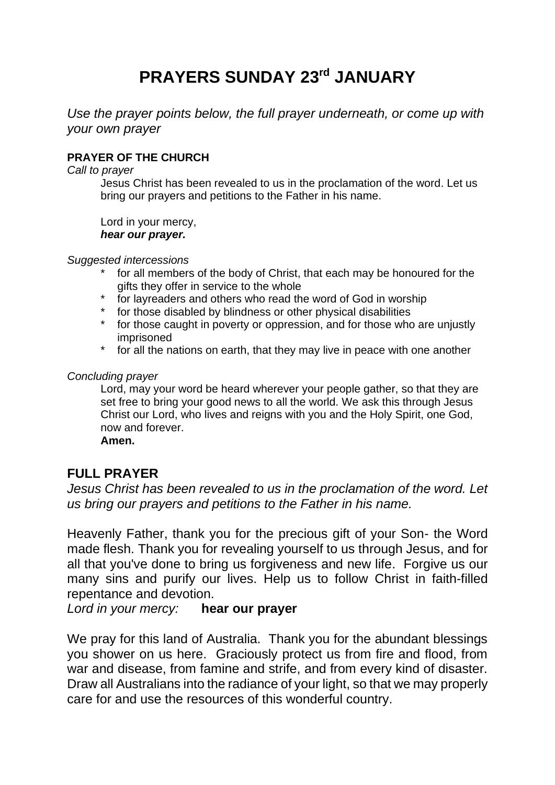# **PRAYERS SUNDAY 23rd JANUARY**

*Use the prayer points below, the full prayer underneath, or come up with your own prayer*

### **PRAYER OF THE CHURCH**

*Call to prayer*

Jesus Christ has been revealed to us in the proclamation of the word. Let us bring our prayers and petitions to the Father in his name.

Lord in your mercy, *hear our prayer.*

*Suggested intercessions*

- \* for all members of the body of Christ, that each may be honoured for the gifts they offer in service to the whole
- \* for layreaders and others who read the word of God in worship
- \* for those disabled by blindness or other physical disabilities
- \* for those caught in poverty or oppression, and for those who are unjustly imprisoned
- \* for all the nations on earth, that they may live in peace with one another

#### *Concluding prayer*

Lord, may your word be heard wherever your people gather, so that they are set free to bring your good news to all the world. We ask this through Jesus Christ our Lord, who lives and reigns with you and the Holy Spirit, one God, now and forever.

**Amen.**

## **FULL PRAYER**

*Jesus Christ has been revealed to us in the proclamation of the word. Let us bring our prayers and petitions to the Father in his name.*

Heavenly Father, thank you for the precious gift of your Son- the Word made flesh. Thank you for revealing yourself to us through Jesus, and for all that you've done to bring us forgiveness and new life. Forgive us our many sins and purify our lives. Help us to follow Christ in faith-filled repentance and devotion.

*Lord in your mercy:* **hear our prayer**

We pray for this land of Australia. Thank you for the abundant blessings you shower on us here. Graciously protect us from fire and flood, from war and disease, from famine and strife, and from every kind of disaster. Draw all Australians into the radiance of your light, so that we may properly care for and use the resources of this wonderful country.